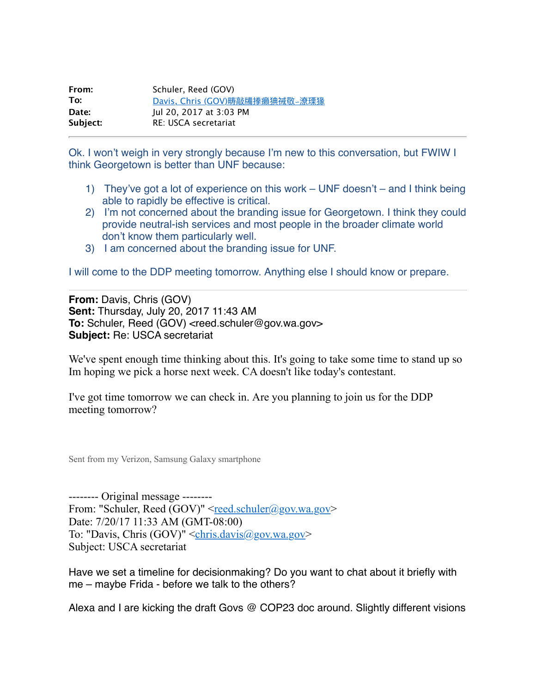| From:    | Schuler, Reed (GOV)            |
|----------|--------------------------------|
| To:      | Davis, Chris (GOV)畴敲牖搼癩猠祴敬~潦瑮猭 |
| Date:    | lul 20, 2017 at 3:03 PM        |
| Subject: | RE: USCA secretariat           |

Ok. I won't weigh in very strongly because I'm new to this conversation, but FWIW I think Georgetown is better than UNF because:

- 1) They've got a lot of experience on this work UNF doesn't and I think being able to rapidly be effective is critical.
- 2) I'm not concerned about the branding issue for Georgetown. I think they could provide neutral-ish services and most people in the broader climate world don't know them particularly well.
- 3) I am concerned about the branding issue for UNF.

I will come to the DDP meeting tomorrow. Anything else I should know or prepare.

**From:** Davis, Chris (GOV) **Sent:** Thursday, July 20, 2017 11:43 AM **To:** Schuler, Reed (GOV) <reed.schuler@gov.wa.gov> **Subject:** Re: USCA secretariat

We've spent enough time thinking about this. It's going to take some time to stand up so Im hoping we pick a horse next week. CA doesn't like today's contestant.

I've got time tomorrow we can check in. Are you planning to join us for the DDP meeting tomorrow?

Sent from my Verizon, Samsung Galaxy smartphone

-------- Original message -------- From: "Schuler, Reed (GOV)"  $\leq$ [reed.schuler@gov.wa.gov>](mailto:reed.schuler@gov.wa.gov) Date: 7/20/17 11:33 AM (GMT-08:00) To: "Davis, Chris  $(GOV)$ " <chris.davis $@gov.wa.gov$ Subject: USCA secretariat

Have we set a timeline for decisionmaking? Do you want to chat about it briefly with me – maybe Frida - before we talk to the others?

Alexa and I are kicking the draft Govs @ COP23 doc around. Slightly different visions